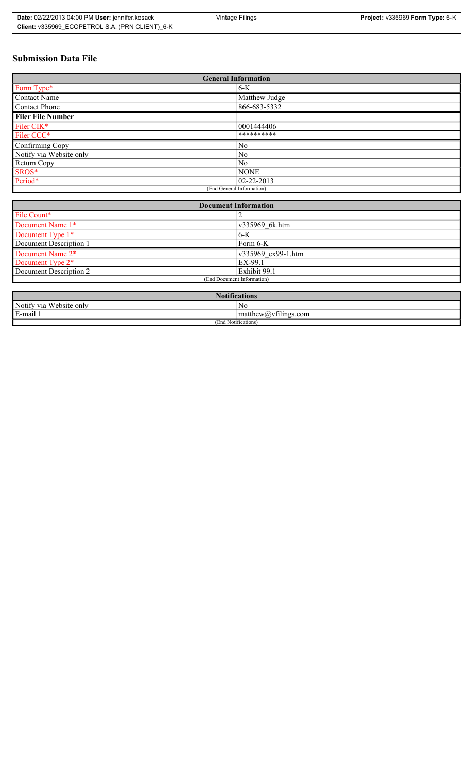# **Submission Data File**

| <b>General Information</b> |                  |
|----------------------------|------------------|
| Form Type*                 | $6-K$            |
| Contact Name               | Matthew Judge    |
| Contact Phone              | 866-683-5332     |
| <b>Filer File Number</b>   |                  |
| Filer CIK*                 | 0001444406       |
| Filer CCC*                 | **********       |
| Confirming Copy            | N <sub>0</sub>   |
| Notify via Website only    | No               |
| Return Copy                | No               |
| SROS*                      | <b>NONE</b>      |
| Period*                    | $02 - 22 - 2013$ |
| (End General Information)  |                  |

| <b>Document Information</b>  |                    |
|------------------------------|--------------------|
| File Count*                  |                    |
| Document Name 1*             | v335969 6k.htm     |
| Document Type 1*             | $6-K$              |
| Document Description 1       | $Form 6-K$         |
| Document Name 2*             | v335969 ex99-1.htm |
| Document Type 2 <sup>*</sup> | EX-99.1            |
| Document Description 2       | Exhibit 99.1       |
| (End Document Information)   |                    |
|                              |                    |

| <b>Notifications</b>    |                                             |
|-------------------------|---------------------------------------------|
| Notify via Website only | No                                          |
| E-mail                  | $-$<br>$ $ matthew( <i>a</i> ) vtilings.com |
| (End Notifications)     |                                             |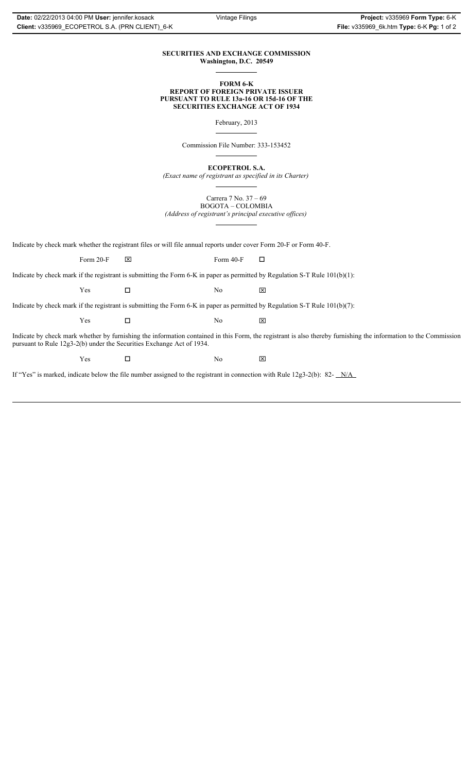### **SECURITIES AND EXCHANGE COMMISSION Washington, D.C. 20549**

#### **FORM 6-K REPORT OF FOREIGN PRIVATE ISSUER PURSUANT TO RULE 13a-16 OR 15d-16 OF THE SECURITIES EXCHANGE ACT OF 1934**

February, 2013

Commission File Number: 333-153452

**ECOPETROL S.A.**

*(Exact name of registrant as specified in its Charter)*

Carrera 7 No. 37 – 69 BOGOTA – COLOMBIA

*(Address of registrant's principal executive offices)*

Indicate by check mark whether the registrant files or will file annual reports under cover Form 20-F or Form 40-F.

Form 20-F  $\boxtimes$  Form 40-F  $\Box$ 

Indicate by check mark if the registrant is submitting the Form 6-K in paper as permitted by Regulation S-T Rule 101(b)(1):

 $Yes$   $\Box$   $No$   $X$ 

Indicate by check mark if the registrant is submitting the Form 6-K in paper as permitted by Regulation S-T Rule 101(b)(7):

 $Yes$   $\Box$   $No$   $X$ 

Indicate by check mark whether by furnishing the information contained in this Form, the registrant is also thereby furnishing the information to the Commission pursuant to Rule 12g3-2(b) under the Securities Exchange Act of 1934.

 $Yes$   $\square$ 

If "Yes" is marked, indicate below the file number assigned to the registrant in connection with Rule 12g3-2(b): 82- N/A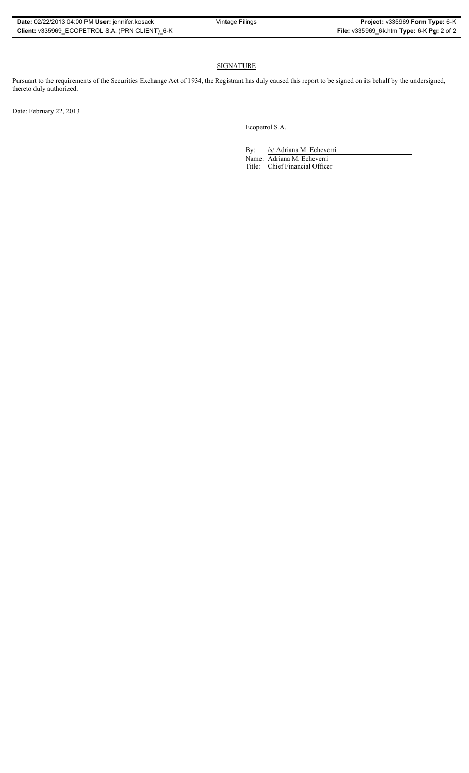## SIGNATURE

Pursuant to the requirements of the Securities Exchange Act of 1934, the Registrant has duly caused this report to be signed on its behalf by the undersigned, thereto duly authorized.

Date: February 22, 2013

Ecopetrol S.A.

By: /s/ Adriana M. Echeverri

Name: Adriana M. Echeverri Title: Chief Financial Officer